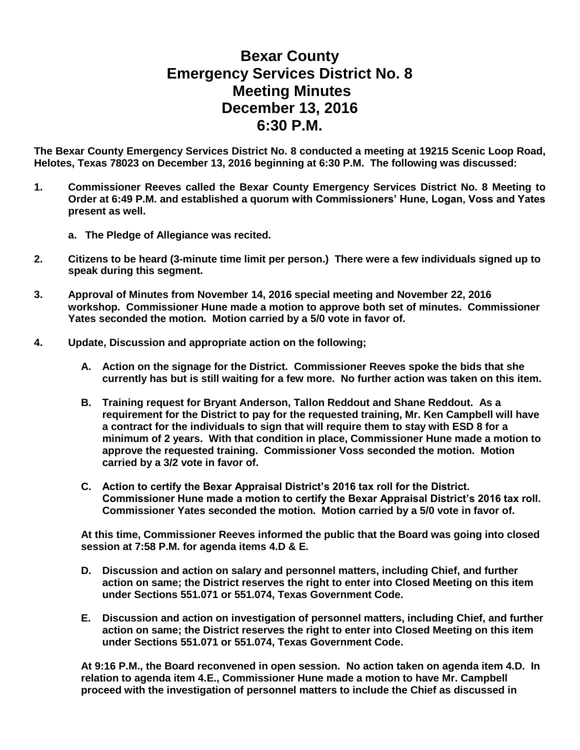## **Bexar County Emergency Services District No. 8 Meeting Minutes December 13, 2016 6:30 P.M.**

**The Bexar County Emergency Services District No. 8 conducted a meeting at 19215 Scenic Loop Road, Helotes, Texas 78023 on December 13, 2016 beginning at 6:30 P.M. The following was discussed:**

- **1. Commissioner Reeves called the Bexar County Emergency Services District No. 8 Meeting to Order at 6:49 P.M. and established a quorum with Commissioners' Hune, Logan, Voss and Yates present as well.**
	- **a. The Pledge of Allegiance was recited.**
- **2. Citizens to be heard (3-minute time limit per person.) There were a few individuals signed up to speak during this segment.**
- **3. Approval of Minutes from November 14, 2016 special meeting and November 22, 2016 workshop. Commissioner Hune made a motion to approve both set of minutes. Commissioner Yates seconded the motion. Motion carried by a 5/0 vote in favor of.**
- **4. Update, Discussion and appropriate action on the following;**
	- **A. Action on the signage for the District. Commissioner Reeves spoke the bids that she currently has but is still waiting for a few more. No further action was taken on this item.**
	- **B. Training request for Bryant Anderson, Tallon Reddout and Shane Reddout. As a requirement for the District to pay for the requested training, Mr. Ken Campbell will have a contract for the individuals to sign that will require them to stay with ESD 8 for a minimum of 2 years. With that condition in place, Commissioner Hune made a motion to approve the requested training. Commissioner Voss seconded the motion. Motion carried by a 3/2 vote in favor of.**
	- **C. Action to certify the Bexar Appraisal District's 2016 tax roll for the District. Commissioner Hune made a motion to certify the Bexar Appraisal District's 2016 tax roll. Commissioner Yates seconded the motion. Motion carried by a 5/0 vote in favor of.**

**At this time, Commissioner Reeves informed the public that the Board was going into closed session at 7:58 P.M. for agenda items 4.D & E.**

- **D. Discussion and action on salary and personnel matters, including Chief, and further action on same; the District reserves the right to enter into Closed Meeting on this item under Sections 551.071 or 551.074, Texas Government Code.**
- **E. Discussion and action on investigation of personnel matters, including Chief, and further action on same; the District reserves the right to enter into Closed Meeting on this item under Sections 551.071 or 551.074, Texas Government Code.**

**At 9:16 P.M., the Board reconvened in open session. No action taken on agenda item 4.D. In relation to agenda item 4.E., Commissioner Hune made a motion to have Mr. Campbell proceed with the investigation of personnel matters to include the Chief as discussed in**